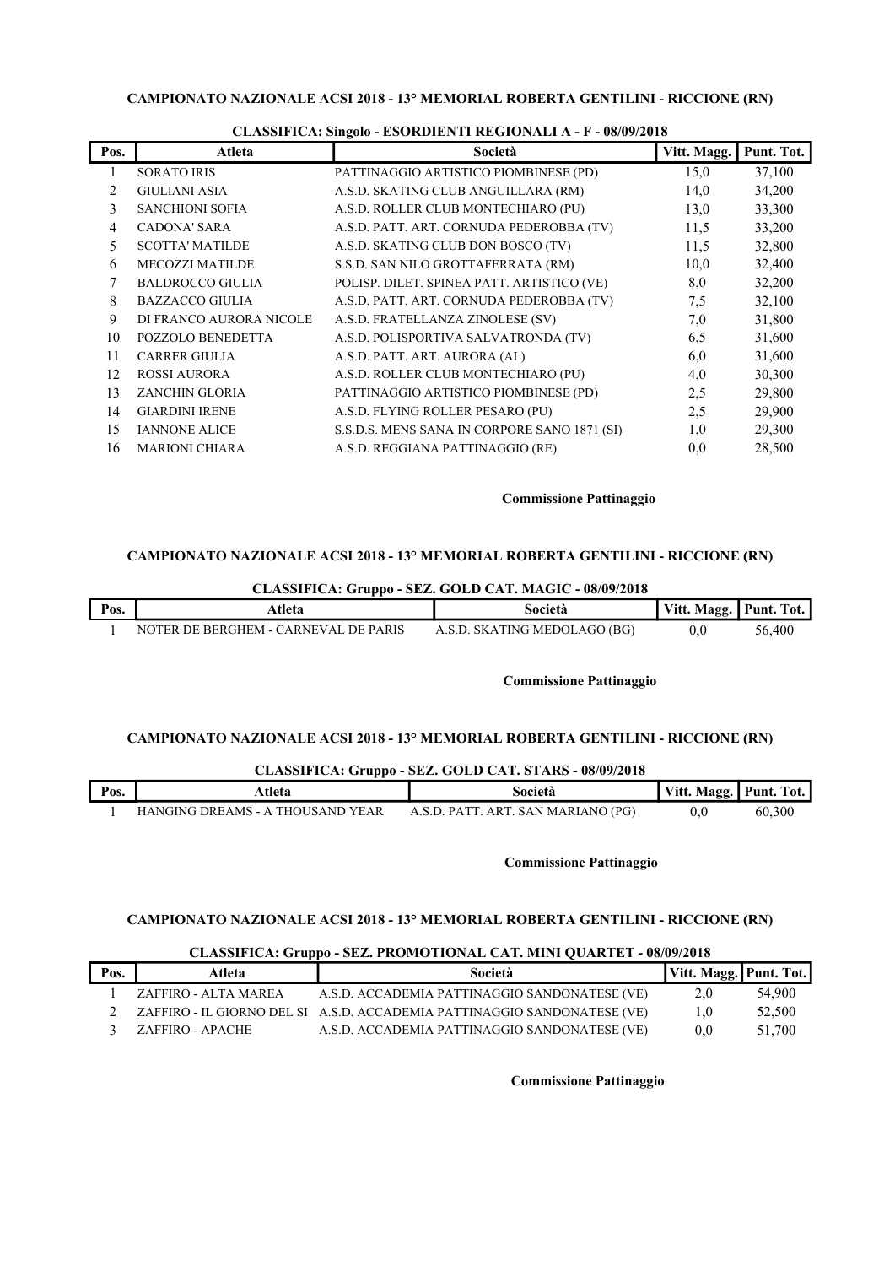## CAMPIONATO NAZIONALE ACSI 2018 - 13° MEMORIAL ROBERTA GENTILINI - RICCIONE (RN)

|                | $\alpha$ and $\alpha$ and $\alpha$ and $\alpha$ and $\alpha$ and $\alpha$ and $\alpha$ and $\alpha$ and $\alpha$ and $\alpha$ and $\alpha$ and $\alpha$ and $\alpha$ and $\alpha$ and $\alpha$ and $\alpha$ and $\alpha$ and $\alpha$ and $\alpha$ and $\alpha$ and $\alpha$ and $\alpha$ and $\alpha$ and $\alpha$ and $\alpha$ |                                              |             |            |  |
|----------------|----------------------------------------------------------------------------------------------------------------------------------------------------------------------------------------------------------------------------------------------------------------------------------------------------------------------------------|----------------------------------------------|-------------|------------|--|
| Pos.           | Atleta                                                                                                                                                                                                                                                                                                                           | Società                                      | Vitt. Magg. | Punt. Tot. |  |
| 1              | <b>SORATO IRIS</b>                                                                                                                                                                                                                                                                                                               | PATTINAGGIO ARTISTICO PIOMBINESE (PD)        | 15,0        | 37,100     |  |
| $\overline{2}$ | <b>GIULIANI ASIA</b>                                                                                                                                                                                                                                                                                                             | A.S.D. SKATING CLUB ANGUILLARA (RM)          | 14,0        | 34,200     |  |
| 3              | <b>SANCHIONI SOFIA</b>                                                                                                                                                                                                                                                                                                           | A.S.D. ROLLER CLUB MONTECHIARO (PU)          | 13,0        | 33,300     |  |
| 4              | <b>CADONA' SARA</b>                                                                                                                                                                                                                                                                                                              | A.S.D. PATT. ART. CORNUDA PEDEROBBA (TV)     | 11,5        | 33,200     |  |
| 5              | <b>SCOTTA' MATILDE</b>                                                                                                                                                                                                                                                                                                           | A.S.D. SKATING CLUB DON BOSCO (TV)           | 11,5        | 32,800     |  |
| 6              | <b>MECOZZI MATILDE</b>                                                                                                                                                                                                                                                                                                           | S.S.D. SAN NILO GROTTAFERRATA (RM)           | 10,0        | 32,400     |  |
| 7              | <b>BALDROCCO GIULIA</b>                                                                                                                                                                                                                                                                                                          | POLISP. DILET. SPINEA PATT. ARTISTICO (VE)   | 8,0         | 32,200     |  |
| 8              | <b>BAZZACCO GIULIA</b>                                                                                                                                                                                                                                                                                                           | A.S.D. PATT. ART. CORNUDA PEDEROBBA (TV)     | 7,5         | 32,100     |  |
| 9              | DI FRANCO AURORA NICOLE                                                                                                                                                                                                                                                                                                          | A.S.D. FRATELLANZA ZINOLESE (SV)             | 7,0         | 31,800     |  |
| 10             | POZZOLO BENEDETTA                                                                                                                                                                                                                                                                                                                | A.S.D. POLISPORTIVA SALVATRONDA (TV)         | 6,5         | 31,600     |  |
| 11             | <b>CARRER GIULIA</b>                                                                                                                                                                                                                                                                                                             | A.S.D. PATT. ART. AURORA (AL)                | 6,0         | 31,600     |  |
| 12             | <b>ROSSI AURORA</b>                                                                                                                                                                                                                                                                                                              | A.S.D. ROLLER CLUB MONTECHIARO (PU)          | 4,0         | 30,300     |  |
| 13             | ZANCHIN GLORIA                                                                                                                                                                                                                                                                                                                   | PATTINAGGIO ARTISTICO PIOMBINESE (PD)        | 2,5         | 29,800     |  |
| 14             | <b>GIARDINI IRENE</b>                                                                                                                                                                                                                                                                                                            | A.S.D. FLYING ROLLER PESARO (PU)             | 2.5         | 29,900     |  |
| 15             | <b>IANNONE ALICE</b>                                                                                                                                                                                                                                                                                                             | S.S.D.S. MENS SANA IN CORPORE SANO 1871 (SI) | 1,0         | 29,300     |  |
| 16             | <b>MARIONI CHIARA</b>                                                                                                                                                                                                                                                                                                            | A.S.D. REGGIANA PATTINAGGIO (RE)             | 0,0         | 28,500     |  |

# CLASSIFICA: Singolo - ESORDIENTI REGIONALI A - F - 08/09/2018

#### Commissione Pattinaggio

# CAMPIONATO NAZIONALE ACSI 2018 - 13° MEMORIAL ROBERTA GENTILINI - RICCIONE (RN)

CLASSIFICA: Gruppo - SEZ. GOLD CAT. MAGIC - 08/09/2018

| Pos. | Atleta                               | Società                      | Magg. Punt.<br>Vitt. | Tot.   |
|------|--------------------------------------|------------------------------|----------------------|--------|
|      | NOTER DE BERGHEM - CARNEVAL DE PARIS | A.S.D. SKATING MEDOLAGO (BG) |                      | 56.400 |

#### Commissione Pattinaggio

## CAMPIONATO NAZIONALE ACSI 2018 - 13° MEMORIAL ROBERTA GENTILINI - RICCIONE (RN)

| CLASSIFICA: Gruppo - SEZ. GOLD CAT. STARS - 08/09/2018 |                                  |                                    |                        |        |
|--------------------------------------------------------|----------------------------------|------------------------------------|------------------------|--------|
| Pos.                                                   | Atleta                           | Società                            | Vitt. Magg. Punt. Tot. |        |
|                                                        | HANGING DREAMS - A THOUSAND YEAR | A.S.D. PATT. ART. SAN MARIANO (PG) | $0.0^{\circ}$          | 60,300 |

Commissione Pattinaggio

# CAMPIONATO NAZIONALE ACSI 2018 - 13° MEMORIAL ROBERTA GENTILINI - RICCIONE (RN)

#### CLASSIFICA: Gruppo - SEZ. PROMOTIONAL CAT. MINI QUARTET - 08/09/2018

| Pos. | Atleta               | Società                                                                  | Vitt. Magg. Punt. Tot. |        |
|------|----------------------|--------------------------------------------------------------------------|------------------------|--------|
|      | ZAFFIRO - ALTA MAREA | A.S.D. ACCADEMIA PATTINAGGIO SANDONATESE (VE)                            | 2.0                    | 54,900 |
|      |                      | ZAFFIRO - IL GIORNO DEL SI A.S.D. ACCADEMIA PATTINAGGIO SANDONATESE (VE) | 1.0                    | 52,500 |
|      | ZAFFIRO - APACHE     | A.S.D. ACCADEMIA PATTINAGGIO SANDONATESE (VE)                            | $0.0\,$                | 51,700 |

Commissione Pattinaggio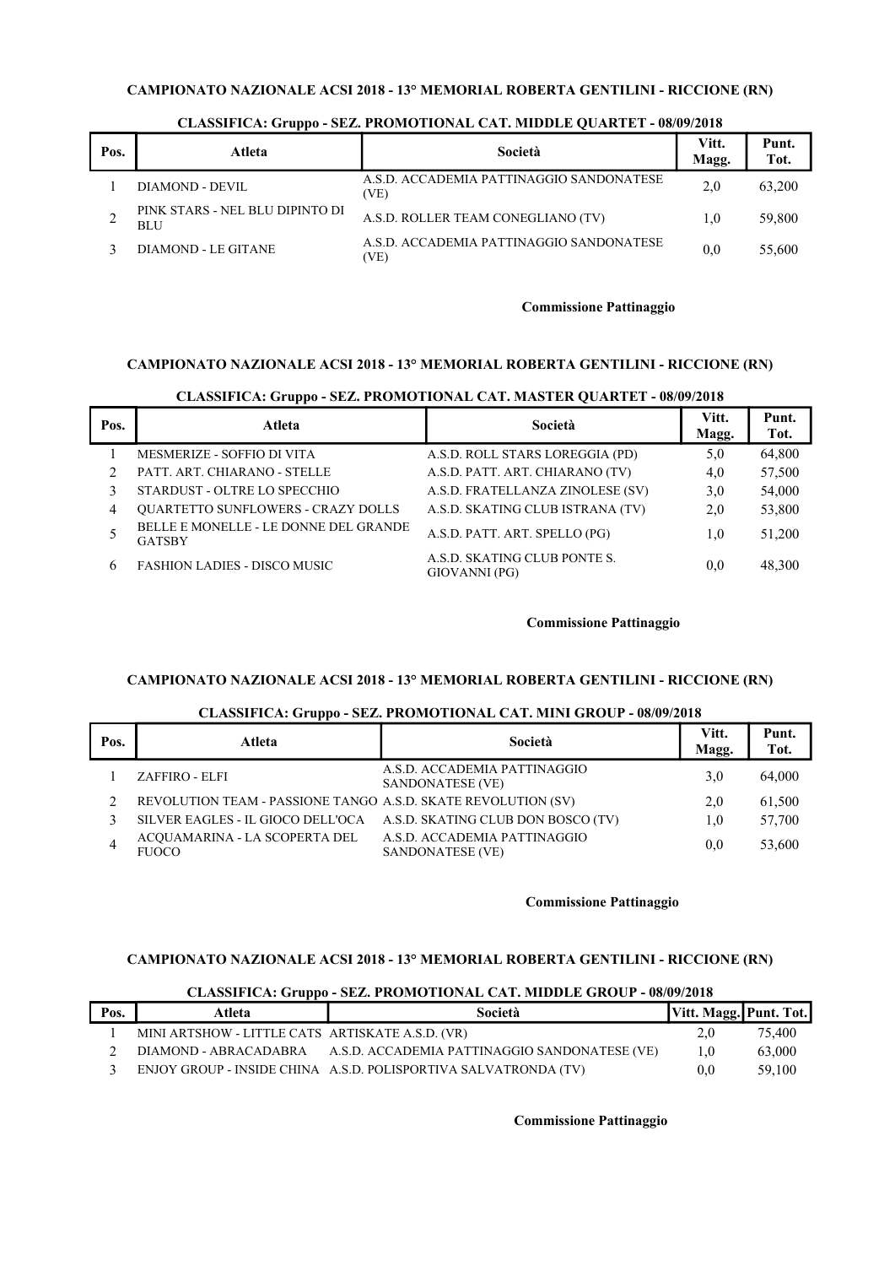# CAMPIONATO NAZIONALE ACSI 2018 - 13° MEMORIAL ROBERTA GENTILINI - RICCIONE (RN)

| Pos. | Atleta                                        | Società                                          | Vitt.<br>Magg. | Punt.<br>Tot. |
|------|-----------------------------------------------|--------------------------------------------------|----------------|---------------|
|      | DIAMOND - DEVIL                               | A.S.D. ACCADEMIA PATTINAGGIO SANDONATESE<br>(VE) | 2.0            | 63,200        |
|      | PINK STARS - NEL BLU DIPINTO DI<br><b>BLU</b> | A.S.D. ROLLER TEAM CONEGLIANO (TV)               | 1.0            | 59,800        |
|      | DIAMOND - LE GITANE                           | A.S.D. ACCADEMIA PATTINAGGIO SANDONATESE<br>'VE) | 0.0            | 55,600        |

#### CLASSIFICA: Gruppo - SEZ. PROMOTIONAL CAT. MIDDLE QUARTET - 08/09/2018

#### Commissione Pattinaggio

#### CAMPIONATO NAZIONALE ACSI 2018 - 13° MEMORIAL ROBERTA GENTILINI - RICCIONE (RN)

#### Pos. Nieta del Società Vitt.<br>Nota del Società Vitt. Magg. Punt. Tot. 1 MESMERIZE - SOFFIO DI VITA A.S.D. ROLL STARS LOREGGIA (PD) 5,0 64,800 2 PATT. ART. CHIARANO - STELLE A.S.D. PATT. ART. CHIARANO (TV) 4,0 57,500 3 STARDUST - OLTRE LO SPECCHIO A.S.D. FRATELLANZA ZINOLESE (SV) 3,0 54,000 4 QUARTETTO SUNFLOWERS - CRAZY DOLLS A.S.D. SKATING CLUB ISTRANA (TV) 2,0 53,800 5 BELLE E MONELLE - LE DONNE DEL GRANDE GATSBY A.S.D. PATT. ART. SPELLO (PG)  $1,0$  51,200 6 FASHION LADIES - DISCO MUSIC A.S.D. SKATING CLUB PONTE S. A.S.D. SKATING CLUB PONTE S.  $0,0$  48,300<br>GIOVANNI (PG)

# CLASSIFICA: Gruppo - SEZ. PROMOTIONAL CAT. MASTER QUARTET - 08/09/2018

#### Commissione Pattinaggio

### CAMPIONATO NAZIONALE ACSI 2018 - 13° MEMORIAL ROBERTA GENTILINI - RICCIONE (RN)

### CLASSIFICA: Gruppo - SEZ. PROMOTIONAL CAT. MINI GROUP - 08/09/2018

| Pos. | Atleta                                                        | Società                                          | Vitt.<br>Magg. | Punt.<br>Tot. |
|------|---------------------------------------------------------------|--------------------------------------------------|----------------|---------------|
|      | ZAFFIRO - ELFI                                                | A.S.D. ACCADEMIA PATTINAGGIO<br>SANDONATESE (VE) | 3.0            | 64,000        |
|      | REVOLUTION TEAM - PASSIONE TANGO A.S.D. SKATE REVOLUTION (SV) |                                                  | 2,0            | 61,500        |
|      | SILVER EAGLES - IL GIOCO DELL'OCA                             | A.S.D. SKATING CLUB DON BOSCO (TV)               | 1.0            | 57,700        |
|      | ACQUAMARINA - LA SCOPERTA DEL<br><b>FUOCO</b>                 | A.S.D. ACCADEMIA PATTINAGGIO<br>SANDONATESE (VE) | 0.0            | 53,600        |

#### Commissione Pattinaggio

### CAMPIONATO NAZIONALE ACSI 2018 - 13° MEMORIAL ROBERTA GENTILINI - RICCIONE (RN)

#### CLASSIFICA: Gruppo - SEZ. PROMOTIONAL CAT. MIDDLE GROUP - 08/09/2018

| Pos. | Atleta                                           | Società                                                         | Vitt. Magg. Punt. Tot. |        |
|------|--------------------------------------------------|-----------------------------------------------------------------|------------------------|--------|
|      | MINI ARTSHOW - LITTLE CATS ARTISKATE A.S.D. (VR) |                                                                 | 2,0                    | 75,400 |
|      | DIAMOND - ABRACADABRA                            | A.S.D. ACCADEMIA PATTINAGGIO SANDONATESE (VE)                   | $1.0\,$                | 63,000 |
|      |                                                  | ENJOY GROUP - INSIDE CHINA A.S.D. POLISPORTIVA SALVATRONDA (TV) | $0.0\,$                | 59,100 |

#### Commissione Pattinaggio